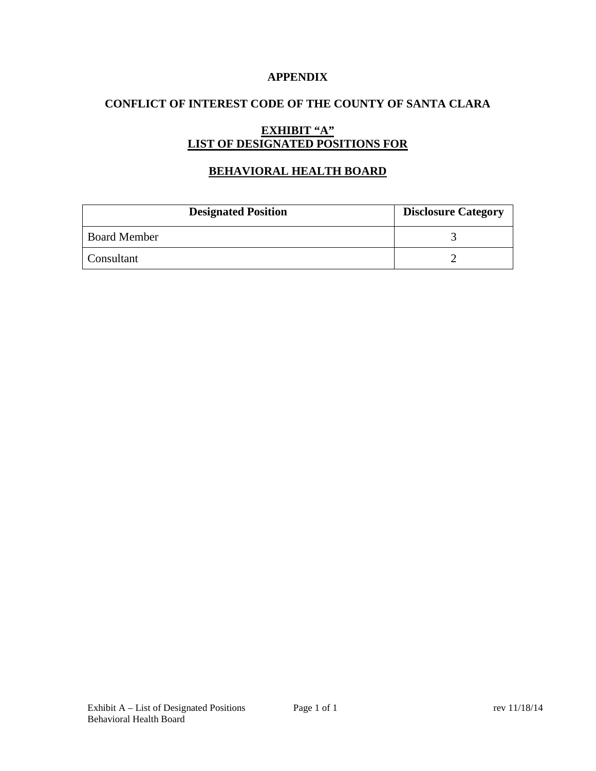### **APPENDIX**

## **CONFLICT OF INTEREST CODE OF THE COUNTY OF SANTA CLARA**

# **EXHIBIT "A" LIST OF DESIGNATED POSITIONS FOR**

## **BEHAVIORAL HEALTH BOARD**

| <b>Designated Position</b> | <b>Disclosure Category</b> |
|----------------------------|----------------------------|
| <b>Board Member</b>        |                            |
| Consultant                 |                            |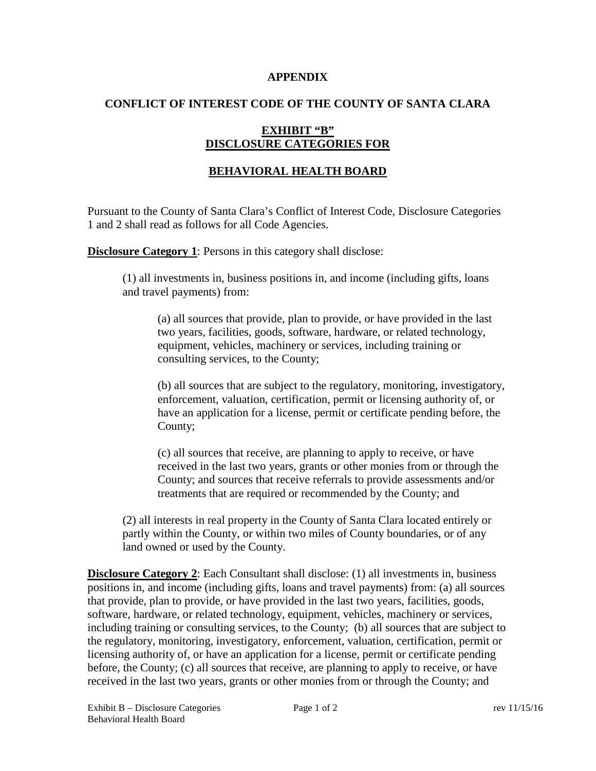#### **APPENDIX**

### **CONFLICT OF INTEREST CODE OF THE COUNTY OF SANTA CLARA**

## **EXHIBIT "B" DISCLOSURE CATEGORIES FOR**

# **BEHAVIORAL HEALTH BOARD**

Pursuant to the County of Santa Clara's Conflict of Interest Code, Disclosure Categories 1 and 2 shall read as follows for all Code Agencies.

**Disclosure Category 1:** Persons in this category shall disclose:

(1) all investments in, business positions in, and income (including gifts, loans and travel payments) from:

(a) all sources that provide, plan to provide, or have provided in the last two years, facilities, goods, software, hardware, or related technology, equipment, vehicles, machinery or services, including training or consulting services, to the County;

(b) all sources that are subject to the regulatory, monitoring, investigatory, enforcement, valuation, certification, permit or licensing authority of, or have an application for a license, permit or certificate pending before, the County;

(c) all sources that receive, are planning to apply to receive, or have received in the last two years, grants or other monies from or through the County; and sources that receive referrals to provide assessments and/or treatments that are required or recommended by the County; and

(2) all interests in real property in the County of Santa Clara located entirely or partly within the County, or within two miles of County boundaries, or of any land owned or used by the County.

**Disclosure Category 2:** Each Consultant shall disclose: (1) all investments in, business positions in, and income (including gifts, loans and travel payments) from: (a) all sources that provide, plan to provide, or have provided in the last two years, facilities, goods, software, hardware, or related technology, equipment, vehicles, machinery or services, including training or consulting services, to the County; (b) all sources that are subject to the regulatory, monitoring, investigatory, enforcement, valuation, certification, permit or licensing authority of, or have an application for a license, permit or certificate pending before, the County; (c) all sources that receive, are planning to apply to receive, or have received in the last two years, grants or other monies from or through the County; and